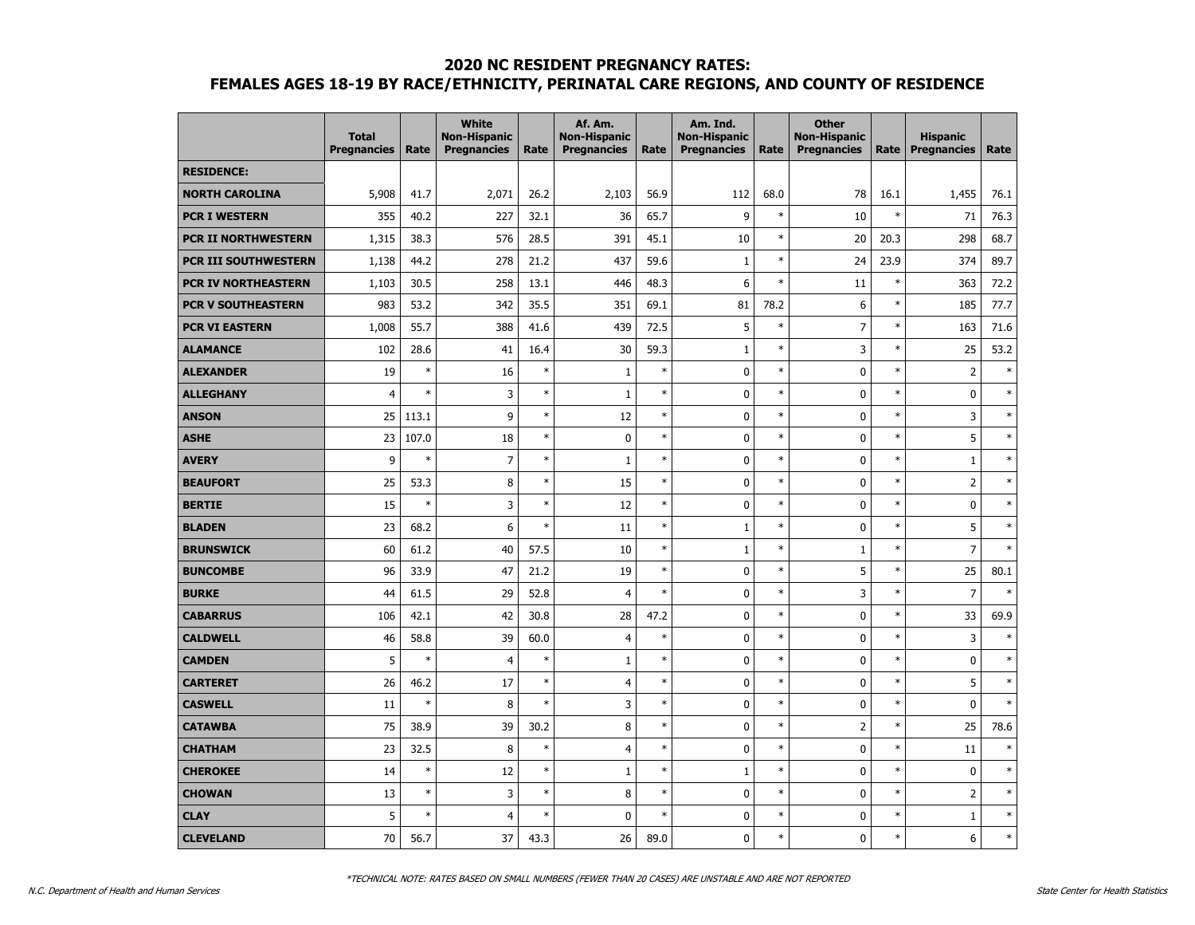#### **2020 NC RESIDENT PREGNANCY RATES:**

# **FEMALES AGES 18-19 BY RACE/ETHNICITY, PERINATAL CARE REGIONS, AND COUNTY OF RESIDENCE**

|                             | <b>Total</b><br><b>Pregnancies</b> | Rate   | <b>White</b><br><b>Non-Hispanic</b><br><b>Pregnancies</b> | Rate   | Af. Am.<br><b>Non-Hispanic</b><br><b>Pregnancies</b> | Rate   | Am. Ind.<br><b>Non-Hispanic</b><br><b>Pregnancies</b> | Rate   | <b>Other</b><br><b>Non-Hispanic</b><br><b>Pregnancies</b> | Rate   | <b>Hispanic</b><br><b>Pregnancies</b> | Rate   |
|-----------------------------|------------------------------------|--------|-----------------------------------------------------------|--------|------------------------------------------------------|--------|-------------------------------------------------------|--------|-----------------------------------------------------------|--------|---------------------------------------|--------|
| <b>RESIDENCE:</b>           |                                    |        |                                                           |        |                                                      |        |                                                       |        |                                                           |        |                                       |        |
| <b>NORTH CAROLINA</b>       | 5,908                              | 41.7   | 2,071                                                     | 26.2   | 2,103                                                | 56.9   | 112                                                   | 68.0   | 78                                                        | 16.1   | 1,455                                 | 76.1   |
| <b>PCR I WESTERN</b>        | 355                                | 40.2   | 227                                                       | 32.1   | 36                                                   | 65.7   | 9                                                     | $\ast$ | 10                                                        | $\ast$ | 71                                    | 76.3   |
| <b>PCR II NORTHWESTERN</b>  | 1,315                              | 38.3   | 576                                                       | 28.5   | 391                                                  | 45.1   | 10                                                    | $\ast$ | 20                                                        | 20.3   | 298                                   | 68.7   |
| <b>PCR III SOUTHWESTERN</b> | 1,138                              | 44.2   | 278                                                       | 21.2   | 437                                                  | 59.6   | $\mathbf{1}$                                          | $\ast$ | 24                                                        | 23.9   | 374                                   | 89.7   |
| <b>PCR IV NORTHEASTERN</b>  | 1,103                              | 30.5   | 258                                                       | 13.1   | 446                                                  | 48.3   | 6                                                     | $\ast$ | 11                                                        | $\ast$ | 363                                   | 72.2   |
| <b>PCR V SOUTHEASTERN</b>   | 983                                | 53.2   | 342                                                       | 35.5   | 351                                                  | 69.1   | 81                                                    | 78.2   | 6                                                         | $\ast$ | 185                                   | 77.7   |
| <b>PCR VI EASTERN</b>       | 1,008                              | 55.7   | 388                                                       | 41.6   | 439                                                  | 72.5   | 5                                                     | $\ast$ | $\overline{7}$                                            | $\ast$ | 163                                   | 71.6   |
| <b>ALAMANCE</b>             | 102                                | 28.6   | 41                                                        | 16.4   | 30                                                   | 59.3   | $1\,$                                                 | $\ast$ | 3                                                         | $\ast$ | 25                                    | 53.2   |
| <b>ALEXANDER</b>            | 19                                 | $\ast$ | 16                                                        | $\ast$ | $\mathbf 1$                                          | $\ast$ | $\pmb{0}$                                             | $\ast$ | 0                                                         | $\ast$ | $\overline{2}$                        | $\ast$ |
| <b>ALLEGHANY</b>            | $\overline{4}$                     | $\ast$ | 3                                                         | $\ast$ | $\mathbf{1}$                                         | $\ast$ | $\pmb{0}$                                             | $\ast$ | 0                                                         | $\ast$ | $\mathbf 0$                           | $\ast$ |
| <b>ANSON</b>                | 25                                 | 113.1  | 9                                                         | $\ast$ | 12                                                   | $\ast$ | 0                                                     | $\ast$ | 0                                                         | $\ast$ | 3                                     | $\ast$ |
| <b>ASHE</b>                 | 23                                 | 107.0  | 18                                                        | $\ast$ | 0                                                    | $\ast$ | 0                                                     | $\ast$ | 0                                                         | $\ast$ | 5                                     | $\ast$ |
| <b>AVERY</b>                | 9                                  | $\ast$ | $\overline{7}$                                            | $\ast$ | $\mathbf{1}$                                         | $\ast$ | $\mathbf 0$                                           | $\ast$ | 0                                                         | $\ast$ | $\mathbf{1}$                          | $\ast$ |
| <b>BEAUFORT</b>             | 25                                 | 53.3   | 8                                                         | $\ast$ | 15                                                   | $\ast$ | 0                                                     | $\ast$ | 0                                                         | $\ast$ | $\overline{2}$                        | $\ast$ |
| <b>BERTIE</b>               | 15                                 | $\ast$ | 3                                                         | $\ast$ | 12                                                   | $\ast$ | 0                                                     | $\ast$ | 0                                                         | $\ast$ | $\bf{0}$                              | $\ast$ |
| <b>BLADEN</b>               | 23                                 | 68.2   | 6                                                         | $\ast$ | 11                                                   | $\ast$ | $\mathbf{1}$                                          | $\ast$ | 0                                                         | $\ast$ | 5                                     | $\ast$ |
| <b>BRUNSWICK</b>            | 60                                 | 61.2   | 40                                                        | 57.5   | 10                                                   | $\ast$ | $\mathbf{1}$                                          | $\ast$ | 1                                                         | $\ast$ | $\overline{7}$                        | $\ast$ |
| <b>BUNCOMBE</b>             | 96                                 | 33.9   | 47                                                        | 21.2   | 19                                                   | $\ast$ | 0                                                     | $\ast$ | 5                                                         | $\ast$ | 25                                    | 80.1   |
| <b>BURKE</b>                | 44                                 | 61.5   | 29                                                        | 52.8   | $\overline{4}$                                       | $\ast$ | 0                                                     | $\ast$ | 3                                                         | $\ast$ | $\overline{7}$                        | $\ast$ |
| <b>CABARRUS</b>             | 106                                | 42.1   | 42                                                        | 30.8   | 28                                                   | 47.2   | 0                                                     | $\ast$ | 0                                                         | $\ast$ | 33                                    | 69.9   |
| <b>CALDWELL</b>             | 46                                 | 58.8   | 39                                                        | 60.0   | 4                                                    | $\ast$ | $\pmb{0}$                                             | $\ast$ | 0                                                         | $\ast$ | 3                                     | $\ast$ |
| <b>CAMDEN</b>               | 5                                  | $\ast$ | $\overline{4}$                                            | $\ast$ | $\mathbf{1}$                                         | $\ast$ | 0                                                     | $\ast$ | 0                                                         | $\ast$ | $\bf{0}$                              | $\ast$ |
| <b>CARTERET</b>             | 26                                 | 46.2   | 17                                                        | $\ast$ | 4                                                    | $\ast$ | 0                                                     | $\ast$ | 0                                                         | $\ast$ | 5                                     | $\ast$ |
| <b>CASWELL</b>              | 11                                 | $\ast$ | 8                                                         | $\ast$ | 3                                                    | $\ast$ | 0                                                     | $\ast$ | 0                                                         | $\ast$ | 0                                     | $\ast$ |
| <b>CATAWBA</b>              | 75                                 | 38.9   | 39                                                        | 30.2   | 8                                                    | $\ast$ | 0                                                     | $\ast$ | $\overline{2}$                                            | $\ast$ | 25                                    | 78.6   |
| <b>CHATHAM</b>              | 23                                 | 32.5   | 8                                                         | $\ast$ | $\overline{4}$                                       | $\ast$ | 0                                                     | $\ast$ | 0                                                         | $\ast$ | 11                                    | $\ast$ |
| <b>CHEROKEE</b>             | 14                                 | $\ast$ | 12                                                        | $\ast$ | $\mathbf 1$                                          | $\ast$ | $1\,$                                                 | $\ast$ | 0                                                         | $\ast$ | $\bf{0}$                              | $\ast$ |
| <b>CHOWAN</b>               | 13                                 | $\ast$ | 3                                                         | $\ast$ | 8                                                    | $\ast$ | $\pmb{0}$                                             | $\ast$ | 0                                                         | $\ast$ | $\overline{2}$                        | $\ast$ |
| <b>CLAY</b>                 | 5                                  | $\ast$ | $\overline{4}$                                            | $\ast$ | 0                                                    | $\ast$ | 0                                                     | $\ast$ | 0                                                         | $\ast$ | $\mathbf{1}$                          | $\ast$ |
| <b>CLEVELAND</b>            | 70                                 | 56.7   | 37                                                        | 43.3   | 26                                                   | 89.0   | 0                                                     | $\ast$ | 0                                                         | $\ast$ | 6                                     | $\ast$ |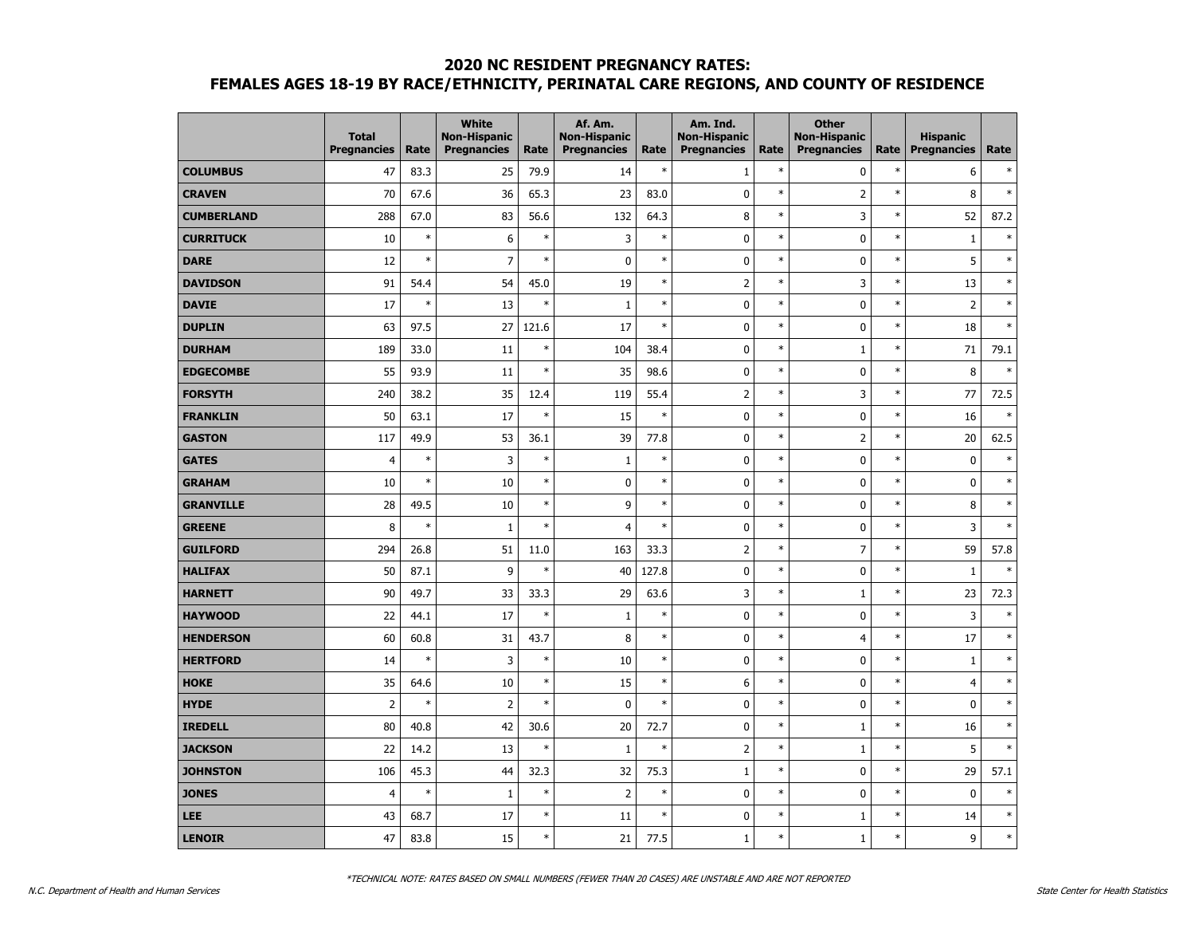#### **2020 NC RESIDENT PREGNANCY RATES:**

# **FEMALES AGES 18-19 BY RACE/ETHNICITY, PERINATAL CARE REGIONS, AND COUNTY OF RESIDENCE**

|                   | <b>Total</b><br><b>Pregnancies</b> | Rate   | <b>White</b><br><b>Non-Hispanic</b><br><b>Pregnancies</b> | Rate   | Af. Am.<br><b>Non-Hispanic</b><br><b>Pregnancies</b> | Rate   | Am. Ind.<br><b>Non-Hispanic</b><br><b>Pregnancies</b> | Rate   | <b>Other</b><br><b>Non-Hispanic</b><br><b>Pregnancies</b> | Rate   | <b>Hispanic</b><br><b>Pregnancies</b> | Rate   |
|-------------------|------------------------------------|--------|-----------------------------------------------------------|--------|------------------------------------------------------|--------|-------------------------------------------------------|--------|-----------------------------------------------------------|--------|---------------------------------------|--------|
| <b>COLUMBUS</b>   | 47                                 | 83.3   | 25                                                        | 79.9   | 14                                                   | $\ast$ | $\mathbf 1$                                           | $\ast$ | $\mathbf 0$                                               | $\ast$ | 6                                     | $\ast$ |
| <b>CRAVEN</b>     | 70                                 | 67.6   | 36                                                        | 65.3   | 23                                                   | 83.0   | $\pmb{0}$                                             | $\ast$ | $\overline{2}$                                            | $\ast$ | 8                                     | $\ast$ |
| <b>CUMBERLAND</b> | 288                                | 67.0   | 83                                                        | 56.6   | 132                                                  | 64.3   | 8                                                     | $\ast$ | 3                                                         | $\ast$ | 52                                    | 87.2   |
| <b>CURRITUCK</b>  | 10                                 | $\ast$ | 6                                                         | $\ast$ | 3                                                    | $\ast$ | 0                                                     | $\ast$ | 0                                                         | $\ast$ | $\mathbf 1$                           | $\ast$ |
| <b>DARE</b>       | 12                                 | $\ast$ | $\overline{7}$                                            | $\ast$ | 0                                                    | $\ast$ | 0                                                     | $\ast$ | 0                                                         | $\ast$ | 5                                     | $\ast$ |
| <b>DAVIDSON</b>   | 91                                 | 54.4   | 54                                                        | 45.0   | 19                                                   | $\ast$ | $\overline{2}$                                        | $\ast$ | 3                                                         | $\ast$ | 13                                    | $\ast$ |
| <b>DAVIE</b>      | 17                                 | $\ast$ | 13                                                        | $\ast$ | $\mathbf{1}$                                         | $\ast$ | 0                                                     | $\ast$ | 0                                                         | $\ast$ | $\overline{2}$                        | $\ast$ |
| <b>DUPLIN</b>     | 63                                 | 97.5   | 27                                                        | 121.6  | 17                                                   | $\ast$ | 0                                                     | $\ast$ | $\mathbf 0$                                               | $\ast$ | 18                                    | $\ast$ |
| <b>DURHAM</b>     | 189                                | 33.0   | 11                                                        | $\ast$ | 104                                                  | 38.4   | 0                                                     | $\ast$ | $1\,$                                                     | $\ast$ | 71                                    | 79.1   |
| <b>EDGECOMBE</b>  | 55                                 | 93.9   | 11                                                        | $\ast$ | 35                                                   | 98.6   | $\pmb{0}$                                             | $\ast$ | 0                                                         | $\ast$ | 8                                     | $\ast$ |
| <b>FORSYTH</b>    | 240                                | 38.2   | 35                                                        | 12.4   | 119                                                  | 55.4   | $\overline{2}$                                        | $\ast$ | 3                                                         | $\ast$ | 77                                    | 72.5   |
| <b>FRANKLIN</b>   | 50                                 | 63.1   | 17                                                        | $\ast$ | 15                                                   | $\ast$ | 0                                                     | $\ast$ | $\mathbf 0$                                               | $\ast$ | 16                                    | $\ast$ |
| <b>GASTON</b>     | 117                                | 49.9   | 53                                                        | 36.1   | 39                                                   | 77.8   | $\pmb{0}$                                             | $\ast$ | $\overline{2}$                                            | $\ast$ | 20                                    | 62.5   |
| <b>GATES</b>      | $\overline{4}$                     | $\ast$ | 3                                                         | $\ast$ | $\mathbf{1}$                                         | $\ast$ | $\mathbf 0$                                           | $\ast$ | 0                                                         | $\ast$ | $\mathbf{0}$                          | $\ast$ |
| <b>GRAHAM</b>     | 10                                 | $\ast$ | 10                                                        | $\ast$ | 0                                                    | $\ast$ | $\pmb{0}$                                             | $\ast$ | 0                                                         | $\ast$ | $\mathbf 0$                           | $\ast$ |
| <b>GRANVILLE</b>  | 28                                 | 49.5   | 10                                                        | $\ast$ | 9                                                    | $\ast$ | $\pmb{0}$                                             | $\ast$ | $\mathbf 0$                                               | $\ast$ | 8                                     | $\ast$ |
| <b>GREENE</b>     | 8                                  | $\ast$ | 1                                                         | $\ast$ | $\overline{4}$                                       | $\ast$ | $\pmb{0}$                                             | $\ast$ | $\pmb{0}$                                                 | $\ast$ | 3                                     | $\ast$ |
| <b>GUILFORD</b>   | 294                                | 26.8   | 51                                                        | 11.0   | 163                                                  | 33.3   | $\overline{2}$                                        | $\ast$ | $\overline{7}$                                            | $\ast$ | 59                                    | 57.8   |
| <b>HALIFAX</b>    | 50                                 | 87.1   | 9                                                         | $\ast$ | 40                                                   | 127.8  | $\pmb{0}$                                             | $\ast$ | 0                                                         | $\ast$ | $\mathbf{1}$                          | $\ast$ |
| <b>HARNETT</b>    | 90                                 | 49.7   | 33                                                        | 33.3   | 29                                                   | 63.6   | 3                                                     | $\ast$ | 1                                                         | $\ast$ | 23                                    | 72.3   |
| <b>HAYWOOD</b>    | 22                                 | 44.1   | 17                                                        | $\ast$ | $\mathbf 1$                                          | $\ast$ | $\pmb{0}$                                             | $\ast$ | 0                                                         | $\ast$ | 3                                     | $\ast$ |
| <b>HENDERSON</b>  | 60                                 | 60.8   | 31                                                        | 43.7   | 8                                                    | $\ast$ | $\pmb{0}$                                             | $\ast$ | $\overline{4}$                                            | $\ast$ | 17                                    | $\ast$ |
| <b>HERTFORD</b>   | 14                                 | $\ast$ | 3                                                         | $\ast$ | 10                                                   | $\ast$ | $\pmb{0}$                                             | $\ast$ | 0                                                         | $\ast$ | $\mathbf 1$                           | $\ast$ |
| <b>HOKE</b>       | 35                                 | 64.6   | 10                                                        | $\ast$ | 15                                                   | $\ast$ | 6                                                     | $\ast$ | $\mathbf 0$                                               | $\ast$ | 4                                     | $\ast$ |
| <b>HYDE</b>       | $\overline{2}$                     | $\ast$ | $\overline{2}$                                            | $\ast$ | 0                                                    | $\ast$ | $\pmb{0}$                                             | $\ast$ | 0                                                         | $\ast$ | $\bf{0}$                              | $\ast$ |
| <b>IREDELL</b>    | 80                                 | 40.8   | 42                                                        | 30.6   | 20                                                   | 72.7   | $\pmb{0}$                                             | $\ast$ | 1                                                         | $\ast$ | 16                                    | $\ast$ |
| <b>JACKSON</b>    | 22                                 | 14.2   | 13                                                        | $\ast$ | $\mathbf{1}$                                         | $\ast$ | $\mathsf 2$                                           | $\ast$ | 1                                                         | $\ast$ | 5                                     | $\ast$ |
| <b>JOHNSTON</b>   | 106                                | 45.3   | 44                                                        | 32.3   | 32                                                   | 75.3   | $\mathbf 1$                                           | $\ast$ | $\mathbf 0$                                               | $\ast$ | 29                                    | 57.1   |
| <b>JONES</b>      | $\overline{4}$                     | $\ast$ | $1\,$                                                     | $\ast$ | $\overline{2}$                                       | $\ast$ | $\pmb{0}$                                             | $\ast$ | 0                                                         | $\ast$ | $\mathbf 0$                           | $\ast$ |
| <b>LEE</b>        | 43                                 | 68.7   | 17                                                        | $\ast$ | 11                                                   | $\ast$ | 0                                                     | $\ast$ | $\mathbf{1}$                                              | $\ast$ | 14                                    | $\ast$ |
| <b>LENOIR</b>     | 47                                 | 83.8   | 15                                                        | $\ast$ | 21                                                   | 77.5   | $\mathbf{1}$                                          | $\ast$ | $\mathbf{1}$                                              | $\ast$ | 9                                     | $\ast$ |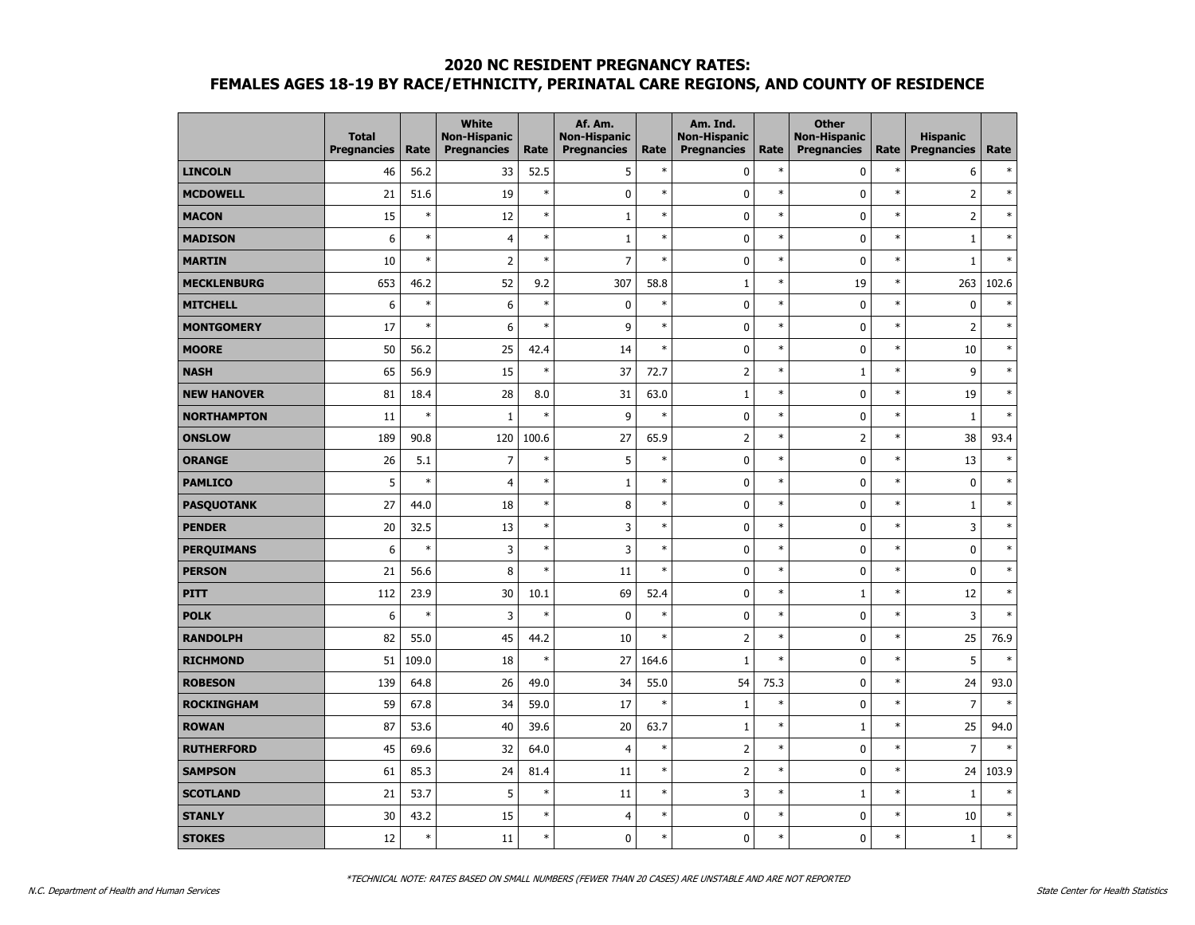#### **2020 NC RESIDENT PREGNANCY RATES:**

# **FEMALES AGES 18-19 BY RACE/ETHNICITY, PERINATAL CARE REGIONS, AND COUNTY OF RESIDENCE**

|                    | <b>Total</b><br><b>Pregnancies</b> | Rate   | <b>White</b><br><b>Non-Hispanic</b><br><b>Pregnancies</b> | Rate   | Af. Am.<br><b>Non-Hispanic</b><br><b>Pregnancies</b> | Rate   | Am. Ind.<br><b>Non-Hispanic</b><br><b>Pregnancies</b> | Rate   | <b>Other</b><br><b>Non-Hispanic</b><br><b>Pregnancies</b> | Rate   | <b>Hispanic</b><br><b>Pregnancies</b> | Rate   |
|--------------------|------------------------------------|--------|-----------------------------------------------------------|--------|------------------------------------------------------|--------|-------------------------------------------------------|--------|-----------------------------------------------------------|--------|---------------------------------------|--------|
| <b>LINCOLN</b>     | 46                                 | 56.2   | 33                                                        | 52.5   | 5                                                    | $\ast$ | 0                                                     | $\ast$ | $\mathbf 0$                                               | $\ast$ | 6                                     | $\ast$ |
| <b>MCDOWELL</b>    | 21                                 | 51.6   | 19                                                        | $\ast$ | 0                                                    | $\ast$ | $\mathbf 0$                                           | $\ast$ | 0                                                         | $\ast$ | $\overline{2}$                        | $\ast$ |
| <b>MACON</b>       | 15                                 | $\ast$ | 12                                                        | $\ast$ | $\mathbf 1$                                          | $\ast$ | 0                                                     | $\ast$ | 0                                                         | $\ast$ | $\overline{2}$                        | $\ast$ |
| <b>MADISON</b>     | 6                                  | $\ast$ | $\overline{4}$                                            | $\ast$ | $\mathbf 1$                                          | $\ast$ | 0                                                     | $\ast$ | 0                                                         | $\ast$ | $\mathbf 1$                           | $\ast$ |
| <b>MARTIN</b>      | 10                                 | $\ast$ | $\overline{2}$                                            | $\ast$ | $\overline{7}$                                       | $\ast$ | 0                                                     | $\ast$ | 0                                                         | $\ast$ | $\mathbf 1$                           | $\ast$ |
| <b>MECKLENBURG</b> | 653                                | 46.2   | 52                                                        | 9.2    | 307                                                  | 58.8   | $\mathbf{1}$                                          | $\ast$ | 19                                                        | $\ast$ | 263                                   | 102.6  |
| <b>MITCHELL</b>    | 6                                  | $\ast$ | 6                                                         | $\ast$ | 0                                                    | $\ast$ | 0                                                     | $\ast$ | 0                                                         | $\ast$ | 0                                     | $\ast$ |
| <b>MONTGOMERY</b>  | 17                                 | $\ast$ | 6                                                         | $\ast$ | 9                                                    | $\ast$ | 0                                                     | $\ast$ | 0                                                         | $\ast$ | $\overline{2}$                        | $\ast$ |
| <b>MOORE</b>       | 50                                 | 56.2   | 25                                                        | 42.4   | 14                                                   | $\ast$ | 0                                                     | $\ast$ | 0                                                         | $\ast$ | 10                                    | $\ast$ |
| <b>NASH</b>        | 65                                 | 56.9   | 15                                                        | $\ast$ | 37                                                   | 72.7   | $\mathsf{2}$                                          | $\ast$ | $\mathbf{1}$                                              | $\ast$ | 9                                     | $\ast$ |
| <b>NEW HANOVER</b> | 81                                 | 18.4   | 28                                                        | 8.0    | 31                                                   | 63.0   | $1\,$                                                 | $\ast$ | 0                                                         | $\ast$ | 19                                    | $\ast$ |
| <b>NORTHAMPTON</b> | 11                                 | $\ast$ | $1\,$                                                     | $\ast$ | 9                                                    | $\ast$ | $\pmb{0}$                                             | $\ast$ | 0                                                         | $\ast$ | $\mathbf 1$                           | $\ast$ |
| <b>ONSLOW</b>      | 189                                | 90.8   | 120                                                       | 100.6  | 27                                                   | 65.9   | $\overline{2}$                                        | $\ast$ | $\overline{2}$                                            | $\ast$ | 38                                    | 93.4   |
| <b>ORANGE</b>      | 26                                 | 5.1    | $\overline{7}$                                            | $\ast$ | 5                                                    | $\ast$ | 0                                                     | $\ast$ | 0                                                         | $\ast$ | 13                                    | $\ast$ |
| <b>PAMLICO</b>     | 5                                  | $\ast$ | $\overline{4}$                                            | $\ast$ | $\mathbf{1}$                                         | $\ast$ | 0                                                     | $\ast$ | 0                                                         | $\ast$ | $\mathbf 0$                           | $\ast$ |
| <b>PASQUOTANK</b>  | 27                                 | 44.0   | 18                                                        | $\ast$ | 8                                                    | $\ast$ | 0                                                     | $\ast$ | 0                                                         | $\ast$ | $\mathbf{1}$                          | $\ast$ |
| <b>PENDER</b>      | 20                                 | 32.5   | 13                                                        | $\ast$ | 3                                                    | $\ast$ | 0                                                     | $\ast$ | 0                                                         | $\ast$ | 3                                     | $\ast$ |
| <b>PERQUIMANS</b>  | 6                                  | $\ast$ | 3                                                         | $\ast$ | 3                                                    | $\ast$ | 0                                                     | $\ast$ | 0                                                         | $\ast$ | $\mathbf 0$                           | $\ast$ |
| <b>PERSON</b>      | 21                                 | 56.6   | 8                                                         | $\ast$ | 11                                                   | $\ast$ | $\pmb{0}$                                             | $\ast$ | 0                                                         | $\ast$ | $\bf{0}$                              | $\ast$ |
| <b>PITT</b>        | 112                                | 23.9   | 30                                                        | 10.1   | 69                                                   | 52.4   | $\pmb{0}$                                             | $\ast$ | $1\,$                                                     | $\ast$ | 12                                    | $\ast$ |
| <b>POLK</b>        | 6                                  | $\ast$ | 3                                                         | $\ast$ | 0                                                    | $\ast$ | $\pmb{0}$                                             | $\ast$ | 0                                                         | $\ast$ | 3                                     | $\ast$ |
| <b>RANDOLPH</b>    | 82                                 | 55.0   | 45                                                        | 44.2   | 10                                                   | $\ast$ | $\overline{2}$                                        | $\ast$ | 0                                                         | $\ast$ | 25                                    | 76.9   |
| <b>RICHMOND</b>    | 51                                 | 109.0  | 18                                                        | $\ast$ | 27                                                   | 164.6  | $\mathbf{1}$                                          | $\ast$ | 0                                                         | $\ast$ | 5                                     | $\ast$ |
| <b>ROBESON</b>     | 139                                | 64.8   | 26                                                        | 49.0   | 34                                                   | 55.0   | 54                                                    | 75.3   | $\mathbf 0$                                               | $\ast$ | 24                                    | 93.0   |
| <b>ROCKINGHAM</b>  | 59                                 | 67.8   | 34                                                        | 59.0   | 17                                                   | $\ast$ | $\mathbf 1$                                           | $\ast$ | 0                                                         | $\ast$ | $\overline{7}$                        | $\ast$ |
| <b>ROWAN</b>       | 87                                 | 53.6   | 40                                                        | 39.6   | 20                                                   | 63.7   | $\mathbf 1$                                           | $\ast$ | $\mathbf{1}$                                              | $\ast$ | 25                                    | 94.0   |
| <b>RUTHERFORD</b>  | 45                                 | 69.6   | 32                                                        | 64.0   | $\overline{4}$                                       | $\ast$ | $\mathsf 2$                                           | $\ast$ | 0                                                         | $\ast$ | $\overline{7}$                        |        |
| <b>SAMPSON</b>     | 61                                 | 85.3   | 24                                                        | 81.4   | 11                                                   | $\ast$ | $\overline{\mathbf{c}}$                               | $\ast$ | $\mathbf 0$                                               | $\ast$ | 24                                    | 103.9  |
| <b>SCOTLAND</b>    | 21                                 | 53.7   | 5                                                         | $\ast$ | 11                                                   | $\ast$ | 3                                                     | $\ast$ | 1                                                         | $\ast$ | $\mathbf 1$                           | $\ast$ |
| <b>STANLY</b>      | 30                                 | 43.2   | 15                                                        | $\ast$ | 4                                                    | $\ast$ | 0                                                     | $\ast$ | 0                                                         | $\ast$ | 10                                    | $\ast$ |
| <b>STOKES</b>      | 12                                 | $\ast$ | 11                                                        | $\ast$ | $\mathbf{0}$                                         | $\ast$ | $\mathbf{0}$                                          | $\ast$ | $\mathbf{0}$                                              | $\ast$ | $\mathbf{1}$                          | $\ast$ |